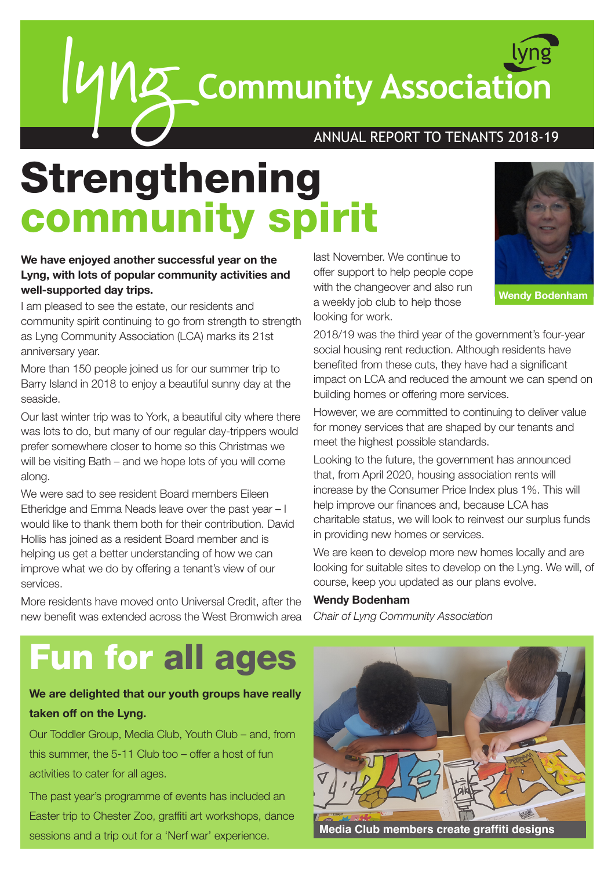lyng **Community Association** lyng

### ANNUAL REPORT TO TENANTS 2018-19

# Strengthening community spirit

### **We have enjoyed another successful year on the Lyng, with lots of popular community activities and well-supported day trips.**

I am pleased to see the estate, our residents and community spirit continuing to go from strength to strength as Lyng Community Association (LCA) marks its 21st anniversary year.

More than 150 people joined us for our summer trip to Barry Island in 2018 to enjoy a beautiful sunny day at the seaside.

Our last winter trip was to York, a beautiful city where there was lots to do, but many of our regular day-trippers would prefer somewhere closer to home so this Christmas we will be visiting Bath – and we hope lots of you will come along.

We were sad to see resident Board members Eileen Etheridge and Emma Neads leave over the past year – I would like to thank them both for their contribution. David Hollis has joined as a resident Board member and is helping us get a better understanding of how we can improve what we do by offering a tenant's view of our services.

More residents have moved onto Universal Credit, after the new benefit was extended across the West Bromwich area

last November. We continue to offer support to help people cope with the changeover and also run a weekly job club to help those looking for work.



**Wendy Bodenham**

2018/19 was the third year of the government's four-year social housing rent reduction. Although residents have benefited from these cuts, they have had a significant impact on LCA and reduced the amount we can spend on building homes or offering more services.

However, we are committed to continuing to deliver value for money services that are shaped by our tenants and meet the highest possible standards.

Looking to the future, the government has announced that, from April 2020, housing association rents will increase by the Consumer Price Index plus 1%. This will help improve our finances and, because LCA has charitable status, we will look to reinvest our surplus funds in providing new homes or services.

We are keen to develop more new homes locally and are looking for suitable sites to develop on the Lyng. We will, of course, keep you updated as our plans evolve.

#### **Wendy Bodenham**

*Chair of Lyng Community Association*

## Fun for all ages

### **We are delighted that our youth groups have really taken off on the Lyng.**

Our Toddler Group, Media Club, Youth Club – and, from this summer, the 5-11 Club too – offer a host of fun activities to cater for all ages.

The past year's programme of events has included an Easter trip to Chester Zoo, graffiti art workshops, dance sessions and a trip out for a 'Nerf war' experience. **Media Club members create graffiti designs**